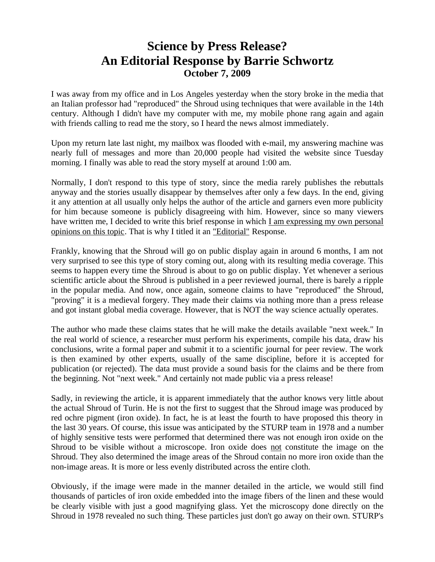## **Science by Press Release? An Editorial Response by Barrie Schwortz October 7, 2009**

I was away from my office and in Los Angeles yesterday when the story broke in the media that an Italian professor had "reproduced" the Shroud using techniques that were available in the 14th century. Although I didn't have my computer with me, my mobile phone rang again and again with friends calling to read me the story, so I heard the news almost immediately.

Upon my return late last night, my mailbox was flooded with e-mail, my answering machine was nearly full of messages and more than 20,000 people had visited the website since Tuesday morning. I finally was able to read the story myself at around 1:00 am.

Normally, I don't respond to this type of story, since the media rarely publishes the rebuttals anyway and the stories usually disappear by themselves after only a few days. In the end, giving it any attention at all usually only helps the author of the article and garners even more publicity for him because someone is publicly disagreeing with him. However, since so many viewers have written me, I decided to write this brief response in which I am expressing my own personal opinions on this topic. That is why I titled it an "Editorial" Response.

Frankly, knowing that the Shroud will go on public display again in around 6 months, I am not very surprised to see this type of story coming out, along with its resulting media coverage. This seems to happen every time the Shroud is about to go on public display. Yet whenever a serious scientific article about the Shroud is published in a peer reviewed journal, there is barely a ripple in the popular media. And now, once again, someone claims to have "reproduced" the Shroud, "proving" it is a medieval forgery. They made their claims via nothing more than a press release and got instant global media coverage. However, that is NOT the way science actually operates.

The author who made these claims states that he will make the details available "next week." In the real world of science, a researcher must perform his experiments, compile his data, draw his conclusions, write a formal paper and submit it to a scientific journal for peer review. The work is then examined by other experts, usually of the same discipline, before it is accepted for publication (or rejected). The data must provide a sound basis for the claims and be there from the beginning. Not "next week." And certainly not made public via a press release!

Sadly, in reviewing the article, it is apparent immediately that the author knows very little about the actual Shroud of Turin. He is not the first to suggest that the Shroud image was produced by red ochre pigment (iron oxide). In fact, he is at least the fourth to have proposed this theory in the last 30 years. Of course, this issue was anticipated by the STURP team in 1978 and a number of highly sensitive tests were performed that determined there was not enough iron oxide on the Shroud to be visible without a microscope. Iron oxide does not constitute the image on the Shroud. They also determined the image areas of the Shroud contain no more iron oxide than the non-image areas. It is more or less evenly distributed across the entire cloth.

Obviously, if the image were made in the manner detailed in the article, we would still find thousands of particles of iron oxide embedded into the image fibers of the linen and these would be clearly visible with just a good magnifying glass. Yet the microscopy done directly on the Shroud in 1978 revealed no such thing. These particles just don't go away on their own. STURP's